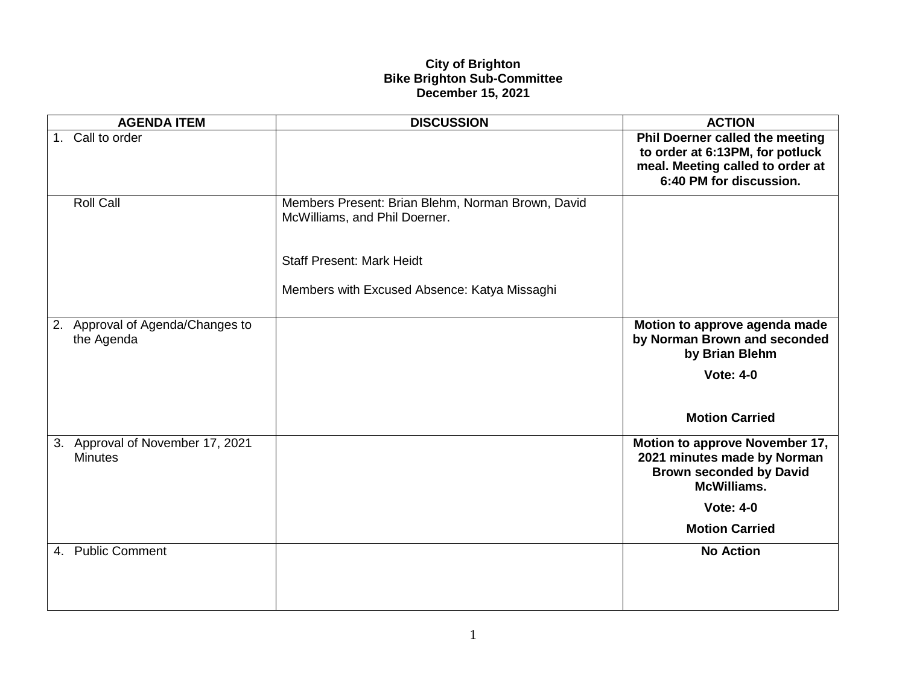## **City of Brighton Bike Brighton Sub-Committee December 15, 2021**

|    | <b>AGENDA ITEM</b>                                 | <b>DISCUSSION</b>                                                                                                      | <b>ACTION</b>                                                                                                                     |
|----|----------------------------------------------------|------------------------------------------------------------------------------------------------------------------------|-----------------------------------------------------------------------------------------------------------------------------------|
|    | 1. Call to order                                   |                                                                                                                        | Phil Doerner called the meeting<br>to order at 6:13PM, for potluck<br>meal. Meeting called to order at<br>6:40 PM for discussion. |
|    | <b>Roll Call</b>                                   | Members Present: Brian Blehm, Norman Brown, David<br>McWilliams, and Phil Doerner.<br><b>Staff Present: Mark Heidt</b> |                                                                                                                                   |
|    |                                                    |                                                                                                                        |                                                                                                                                   |
|    |                                                    | Members with Excused Absence: Katya Missaghi                                                                           |                                                                                                                                   |
| 2. | Approval of Agenda/Changes to<br>the Agenda        |                                                                                                                        | Motion to approve agenda made<br>by Norman Brown and seconded<br>by Brian Blehm                                                   |
|    |                                                    |                                                                                                                        | <b>Vote: 4-0</b>                                                                                                                  |
|    |                                                    |                                                                                                                        | <b>Motion Carried</b>                                                                                                             |
|    | 3. Approval of November 17, 2021<br><b>Minutes</b> |                                                                                                                        | Motion to approve November 17,<br>2021 minutes made by Norman<br><b>Brown seconded by David</b><br><b>McWilliams.</b>             |
|    |                                                    |                                                                                                                        | <b>Vote: 4-0</b>                                                                                                                  |
|    |                                                    |                                                                                                                        | <b>Motion Carried</b>                                                                                                             |
|    | 4. Public Comment                                  |                                                                                                                        | <b>No Action</b>                                                                                                                  |
|    |                                                    |                                                                                                                        |                                                                                                                                   |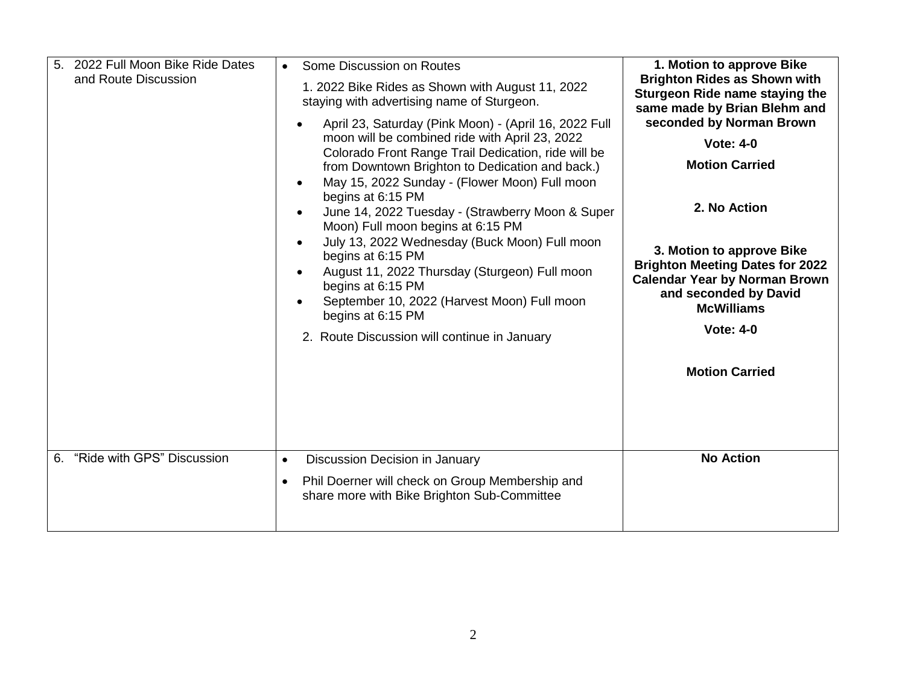| 2022 Full Moon Bike Ride Dates<br>5.<br>and Route Discussion | Some Discussion on Routes<br>1. 2022 Bike Rides as Shown with August 11, 2022<br>staying with advertising name of Sturgeon.<br>April 23, Saturday (Pink Moon) - (April 16, 2022 Full<br>moon will be combined ride with April 23, 2022<br>Colorado Front Range Trail Dedication, ride will be<br>from Downtown Brighton to Dedication and back.)<br>May 15, 2022 Sunday - (Flower Moon) Full moon<br>begins at 6:15 PM<br>June 14, 2022 Tuesday - (Strawberry Moon & Super<br>Moon) Full moon begins at 6:15 PM<br>July 13, 2022 Wednesday (Buck Moon) Full moon<br>begins at 6:15 PM<br>August 11, 2022 Thursday (Sturgeon) Full moon<br>begins at 6:15 PM<br>September 10, 2022 (Harvest Moon) Full moon<br>begins at 6:15 PM<br>2. Route Discussion will continue in January | 1. Motion to approve Bike<br><b>Brighton Rides as Shown with</b><br>Sturgeon Ride name staying the<br>same made by Brian Blehm and<br>seconded by Norman Brown<br><b>Vote: 4-0</b><br><b>Motion Carried</b><br>2. No Action<br>3. Motion to approve Bike<br><b>Brighton Meeting Dates for 2022</b><br><b>Calendar Year by Norman Brown</b><br>and seconded by David<br><b>McWilliams</b><br><b>Vote: 4-0</b><br><b>Motion Carried</b> |
|--------------------------------------------------------------|---------------------------------------------------------------------------------------------------------------------------------------------------------------------------------------------------------------------------------------------------------------------------------------------------------------------------------------------------------------------------------------------------------------------------------------------------------------------------------------------------------------------------------------------------------------------------------------------------------------------------------------------------------------------------------------------------------------------------------------------------------------------------------|---------------------------------------------------------------------------------------------------------------------------------------------------------------------------------------------------------------------------------------------------------------------------------------------------------------------------------------------------------------------------------------------------------------------------------------|
| 6. "Ride with GPS" Discussion                                | Discussion Decision in January<br>$\bullet$<br>Phil Doerner will check on Group Membership and<br>$\bullet$<br>share more with Bike Brighton Sub-Committee                                                                                                                                                                                                                                                                                                                                                                                                                                                                                                                                                                                                                      | <b>No Action</b>                                                                                                                                                                                                                                                                                                                                                                                                                      |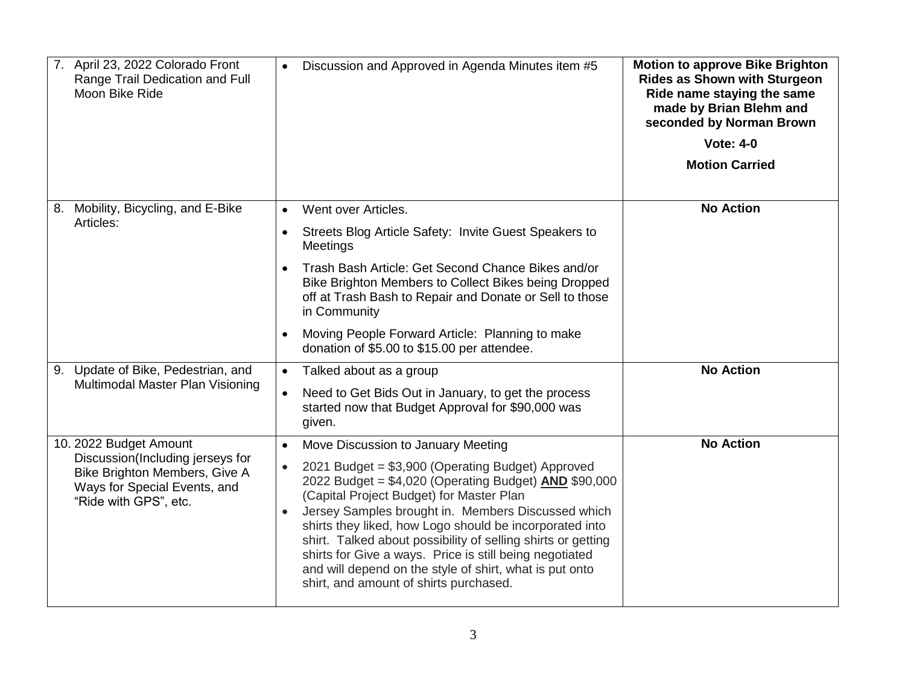| 7. April 23, 2022 Colorado Front<br>Range Trail Dedication and Full<br>Moon Bike Ride                                      | Discussion and Approved in Agenda Minutes item #5<br>$\bullet$                                                                                                                                                                                                                                                                                                                                                                                                                                                                           | <b>Motion to approve Bike Brighton</b><br>Rides as Shown with Sturgeon<br>Ride name staying the same<br>made by Brian Blehm and<br>seconded by Norman Brown<br><b>Vote: 4-0</b> |
|----------------------------------------------------------------------------------------------------------------------------|------------------------------------------------------------------------------------------------------------------------------------------------------------------------------------------------------------------------------------------------------------------------------------------------------------------------------------------------------------------------------------------------------------------------------------------------------------------------------------------------------------------------------------------|---------------------------------------------------------------------------------------------------------------------------------------------------------------------------------|
|                                                                                                                            |                                                                                                                                                                                                                                                                                                                                                                                                                                                                                                                                          | <b>Motion Carried</b>                                                                                                                                                           |
| 8. Mobility, Bicycling, and E-Bike                                                                                         | Went over Articles.<br>$\bullet$                                                                                                                                                                                                                                                                                                                                                                                                                                                                                                         | <b>No Action</b>                                                                                                                                                                |
| Articles:                                                                                                                  | Streets Blog Article Safety: Invite Guest Speakers to<br>$\bullet$<br>Meetings                                                                                                                                                                                                                                                                                                                                                                                                                                                           |                                                                                                                                                                                 |
|                                                                                                                            | Trash Bash Article: Get Second Chance Bikes and/or<br>Bike Brighton Members to Collect Bikes being Dropped<br>off at Trash Bash to Repair and Donate or Sell to those<br>in Community                                                                                                                                                                                                                                                                                                                                                    |                                                                                                                                                                                 |
|                                                                                                                            | Moving People Forward Article: Planning to make<br>donation of \$5.00 to \$15.00 per attendee.                                                                                                                                                                                                                                                                                                                                                                                                                                           |                                                                                                                                                                                 |
| 9. Update of Bike, Pedestrian, and                                                                                         | Talked about as a group<br>$\bullet$                                                                                                                                                                                                                                                                                                                                                                                                                                                                                                     | <b>No Action</b>                                                                                                                                                                |
| Multimodal Master Plan Visioning                                                                                           | Need to Get Bids Out in January, to get the process<br>$\bullet$<br>started now that Budget Approval for \$90,000 was<br>given.                                                                                                                                                                                                                                                                                                                                                                                                          |                                                                                                                                                                                 |
| 10. 2022 Budget Amount                                                                                                     | Move Discussion to January Meeting<br>$\bullet$                                                                                                                                                                                                                                                                                                                                                                                                                                                                                          | <b>No Action</b>                                                                                                                                                                |
| Discussion(Including jerseys for<br>Bike Brighton Members, Give A<br>Ways for Special Events, and<br>"Ride with GPS", etc. | 2021 Budget = \$3,900 (Operating Budget) Approved<br>$\bullet$<br>2022 Budget = \$4,020 (Operating Budget) <b>AND</b> \$90,000<br>(Capital Project Budget) for Master Plan<br>Jersey Samples brought in. Members Discussed which<br>$\bullet$<br>shirts they liked, how Logo should be incorporated into<br>shirt. Talked about possibility of selling shirts or getting<br>shirts for Give a ways. Price is still being negotiated<br>and will depend on the style of shirt, what is put onto<br>shirt, and amount of shirts purchased. |                                                                                                                                                                                 |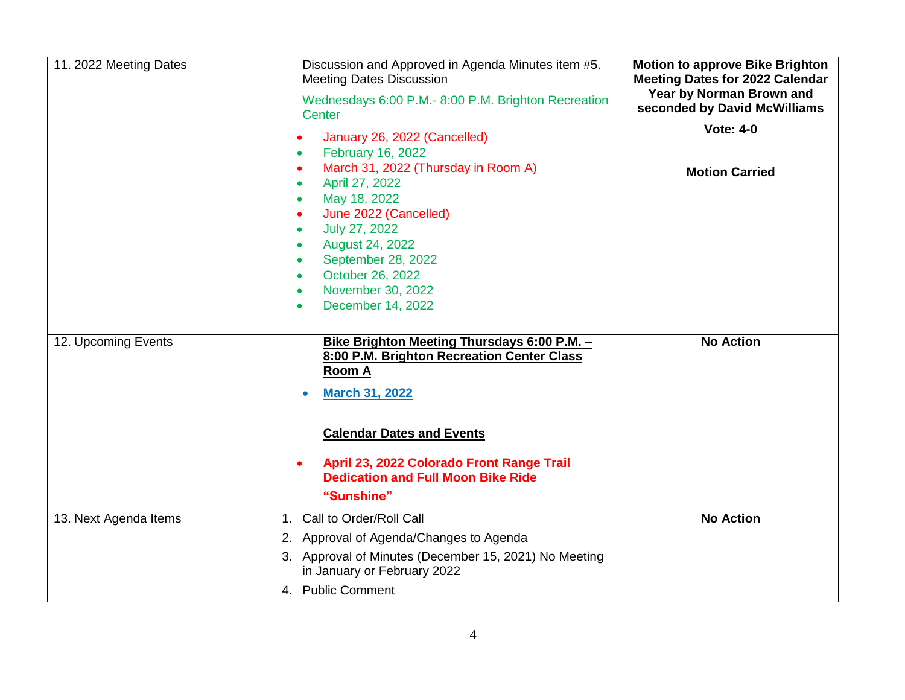| 11. 2022 Meeting Dates | Discussion and Approved in Agenda Minutes item #5.<br><b>Meeting Dates Discussion</b><br>Wednesdays 6:00 P.M.- 8:00 P.M. Brighton Recreation<br>Center                                                                                                            | <b>Motion to approve Bike Brighton</b><br><b>Meeting Dates for 2022 Calendar</b><br>Year by Norman Brown and<br>seconded by David McWilliams |
|------------------------|-------------------------------------------------------------------------------------------------------------------------------------------------------------------------------------------------------------------------------------------------------------------|----------------------------------------------------------------------------------------------------------------------------------------------|
|                        | January 26, 2022 (Cancelled)<br>February 16, 2022<br>March 31, 2022 (Thursday in Room A)                                                                                                                                                                          | <b>Vote: 4-0</b><br><b>Motion Carried</b>                                                                                                    |
|                        | April 27, 2022<br>May 18, 2022<br>$\bullet$<br>June 2022 (Cancelled)<br>July 27, 2022<br>$\bullet$<br>August 24, 2022<br>$\bullet$<br>September 28, 2022<br>$\bullet$<br>October 26, 2022<br>$\bullet$<br>November 30, 2022<br>$\bullet$                          |                                                                                                                                              |
|                        | December 14, 2022                                                                                                                                                                                                                                                 |                                                                                                                                              |
| 12. Upcoming Events    | Bike Brighton Meeting Thursdays 6:00 P.M. -<br>8:00 P.M. Brighton Recreation Center Class<br><u>Room A</u><br><b>March 31, 2022</b><br><b>Calendar Dates and Events</b><br>April 23, 2022 Colorado Front Range Trail<br><b>Dedication and Full Moon Bike Ride</b> | <b>No Action</b>                                                                                                                             |
|                        | "Sunshine"                                                                                                                                                                                                                                                        |                                                                                                                                              |
| 13. Next Agenda Items  | 1. Call to Order/Roll Call                                                                                                                                                                                                                                        | <b>No Action</b>                                                                                                                             |
|                        | 2. Approval of Agenda/Changes to Agenda                                                                                                                                                                                                                           |                                                                                                                                              |
|                        | 3. Approval of Minutes (December 15, 2021) No Meeting<br>in January or February 2022                                                                                                                                                                              |                                                                                                                                              |
|                        | 4. Public Comment                                                                                                                                                                                                                                                 |                                                                                                                                              |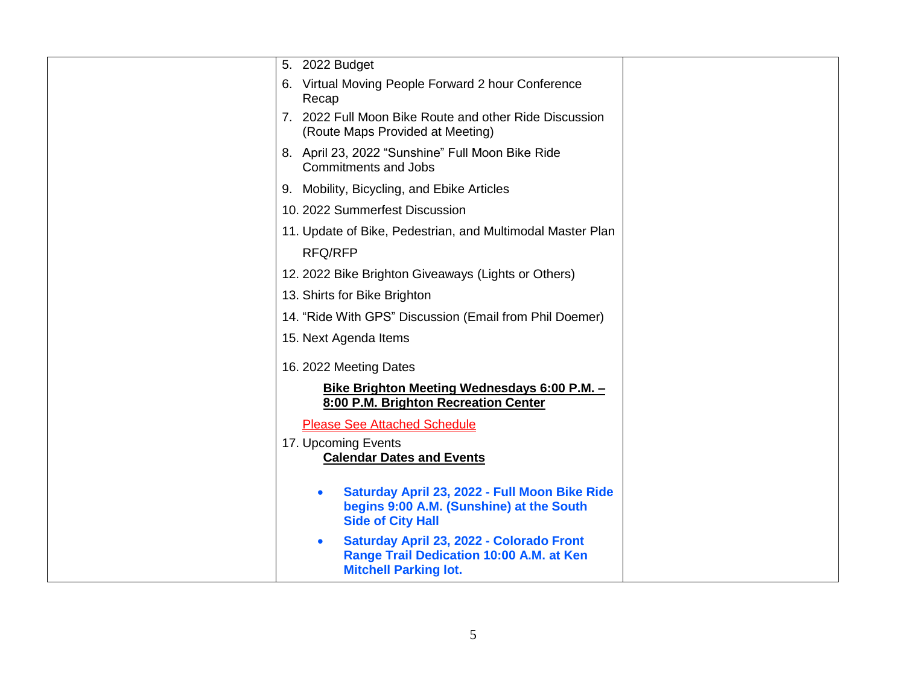| 5. 2022 Budget                                                                                                                     |  |
|------------------------------------------------------------------------------------------------------------------------------------|--|
| 6. Virtual Moving People Forward 2 hour Conference<br>Recap                                                                        |  |
| 7. 2022 Full Moon Bike Route and other Ride Discussion<br>(Route Maps Provided at Meeting)                                         |  |
| 8. April 23, 2022 "Sunshine" Full Moon Bike Ride<br>Commitments and Jobs                                                           |  |
| 9. Mobility, Bicycling, and Ebike Articles                                                                                         |  |
| 10. 2022 Summerfest Discussion                                                                                                     |  |
| 11. Update of Bike, Pedestrian, and Multimodal Master Plan<br><b>RFQ/RFP</b>                                                       |  |
| 12. 2022 Bike Brighton Giveaways (Lights or Others)                                                                                |  |
| 13. Shirts for Bike Brighton                                                                                                       |  |
| 14. "Ride With GPS" Discussion (Email from Phil Doemer)                                                                            |  |
| 15. Next Agenda Items                                                                                                              |  |
| 16. 2022 Meeting Dates                                                                                                             |  |
| <u>Bike Brighton Meeting Wednesdays 6:00 P.M. -</u><br>8:00 P.M. Brighton Recreation Center                                        |  |
| <b>Please See Attached Schedule</b>                                                                                                |  |
| 17. Upcoming Events<br><b>Calendar Dates and Events</b>                                                                            |  |
| Saturday April 23, 2022 - Full Moon Bike Ride<br>$\bullet$<br>begins 9:00 A.M. (Sunshine) at the South<br><b>Side of City Hall</b> |  |
| Saturday April 23, 2022 - Colorado Front<br>$\bullet$<br>Range Trail Dedication 10:00 A.M. at Ken<br><b>Mitchell Parking lot.</b>  |  |